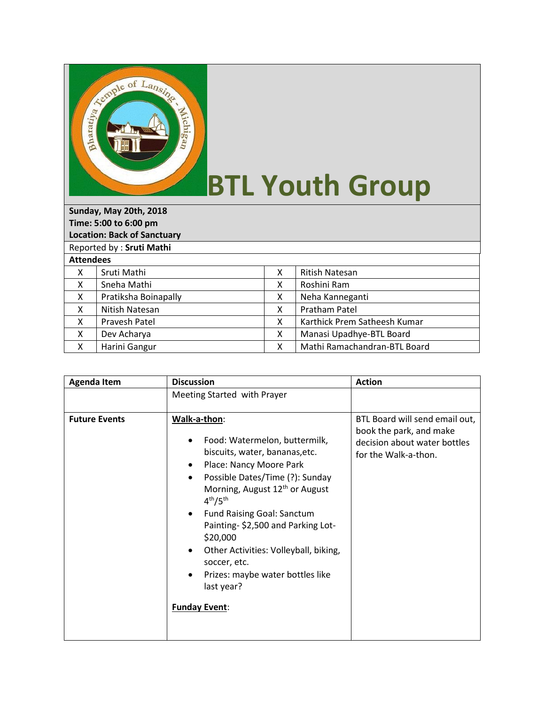

## **BTL Youth Group**

| Sunday, May 20th, 2018             |                      |   |                              |  |  |  |
|------------------------------------|----------------------|---|------------------------------|--|--|--|
| Time: 5:00 to 6:00 pm              |                      |   |                              |  |  |  |
| <b>Location: Back of Sanctuary</b> |                      |   |                              |  |  |  |
| Reported by: Sruti Mathi           |                      |   |                              |  |  |  |
| <b>Attendees</b>                   |                      |   |                              |  |  |  |
| X                                  | Sruti Mathi          | x | <b>Ritish Natesan</b>        |  |  |  |
| X                                  | Sneha Mathi          | X | Roshini Ram                  |  |  |  |
| X                                  | Pratiksha Boinapally | X | Neha Kanneganti              |  |  |  |
| X                                  | Nitish Natesan       | X | Pratham Patel                |  |  |  |
| X                                  | Pravesh Patel        | x | Karthick Prem Satheesh Kumar |  |  |  |
| X                                  | Dev Acharya          | x | Manasi Upadhye-BTL Board     |  |  |  |
| x                                  | Harini Gangur        | χ | Mathi Ramachandran-BTL Board |  |  |  |

| <b>Agenda Item</b>   | <b>Discussion</b>                                                                                                                                                                                                                                                                                                                                                                                                                                                                                         | <b>Action</b>                                                                                                     |
|----------------------|-----------------------------------------------------------------------------------------------------------------------------------------------------------------------------------------------------------------------------------------------------------------------------------------------------------------------------------------------------------------------------------------------------------------------------------------------------------------------------------------------------------|-------------------------------------------------------------------------------------------------------------------|
|                      | Meeting Started with Prayer                                                                                                                                                                                                                                                                                                                                                                                                                                                                               |                                                                                                                   |
| <b>Future Events</b> | Walk-a-thon:<br>Food: Watermelon, buttermilk,<br>biscuits, water, bananas, etc.<br>Place: Nancy Moore Park<br>٠<br>Possible Dates/Time (?): Sunday<br>$\bullet$<br>Morning, August 12 <sup>th</sup> or August<br>4 <sup>th</sup> /5 <sup>th</sup><br><b>Fund Raising Goal: Sanctum</b><br>$\bullet$<br>Painting-\$2,500 and Parking Lot-<br>\$20,000<br>Other Activities: Volleyball, biking,<br>$\bullet$<br>soccer, etc.<br>Prizes: maybe water bottles like<br>٠<br>last year?<br><b>Funday Event:</b> | BTL Board will send email out,<br>book the park, and make<br>decision about water bottles<br>for the Walk-a-thon. |
|                      |                                                                                                                                                                                                                                                                                                                                                                                                                                                                                                           |                                                                                                                   |